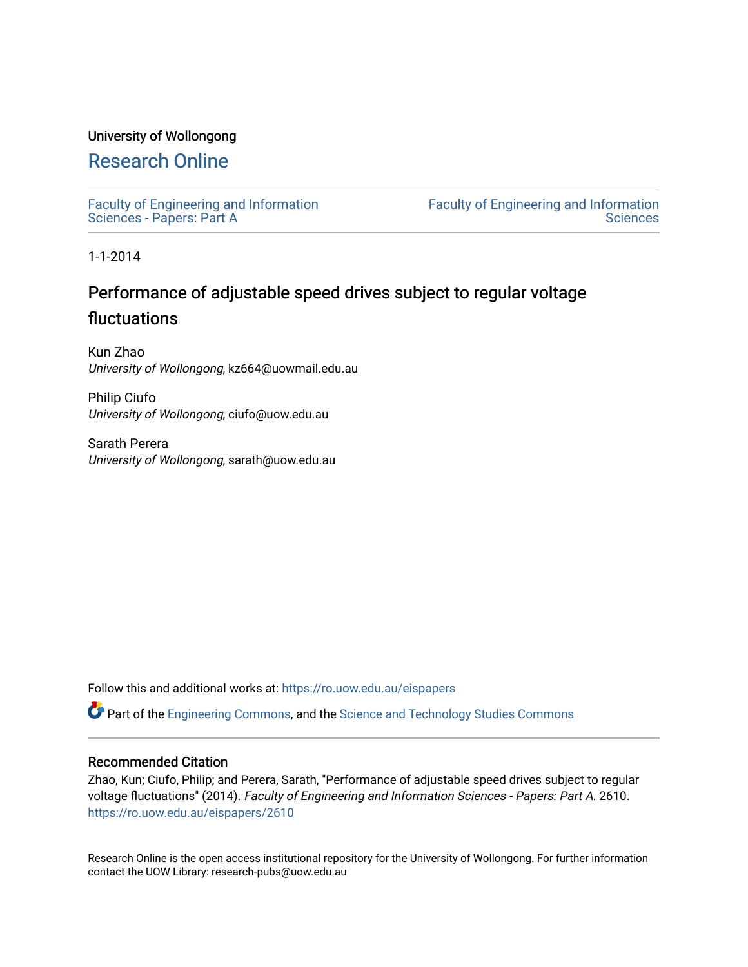## University of Wollongong

## [Research Online](https://ro.uow.edu.au/)

[Faculty of Engineering and Information](https://ro.uow.edu.au/eispapers)  [Sciences - Papers: Part A](https://ro.uow.edu.au/eispapers) 

[Faculty of Engineering and Information](https://ro.uow.edu.au/eis)  **Sciences** 

1-1-2014

# Performance of adjustable speed drives subject to regular voltage fluctuations

Kun Zhao University of Wollongong, kz664@uowmail.edu.au

Philip Ciufo University of Wollongong, ciufo@uow.edu.au

Sarath Perera University of Wollongong, sarath@uow.edu.au

Follow this and additional works at: [https://ro.uow.edu.au/eispapers](https://ro.uow.edu.au/eispapers?utm_source=ro.uow.edu.au%2Feispapers%2F2610&utm_medium=PDF&utm_campaign=PDFCoverPages)

Part of the [Engineering Commons](http://network.bepress.com/hgg/discipline/217?utm_source=ro.uow.edu.au%2Feispapers%2F2610&utm_medium=PDF&utm_campaign=PDFCoverPages), and the [Science and Technology Studies Commons](http://network.bepress.com/hgg/discipline/435?utm_source=ro.uow.edu.au%2Feispapers%2F2610&utm_medium=PDF&utm_campaign=PDFCoverPages)

### Recommended Citation

Zhao, Kun; Ciufo, Philip; and Perera, Sarath, "Performance of adjustable speed drives subject to regular voltage fluctuations" (2014). Faculty of Engineering and Information Sciences - Papers: Part A. 2610. [https://ro.uow.edu.au/eispapers/2610](https://ro.uow.edu.au/eispapers/2610?utm_source=ro.uow.edu.au%2Feispapers%2F2610&utm_medium=PDF&utm_campaign=PDFCoverPages) 

Research Online is the open access institutional repository for the University of Wollongong. For further information contact the UOW Library: research-pubs@uow.edu.au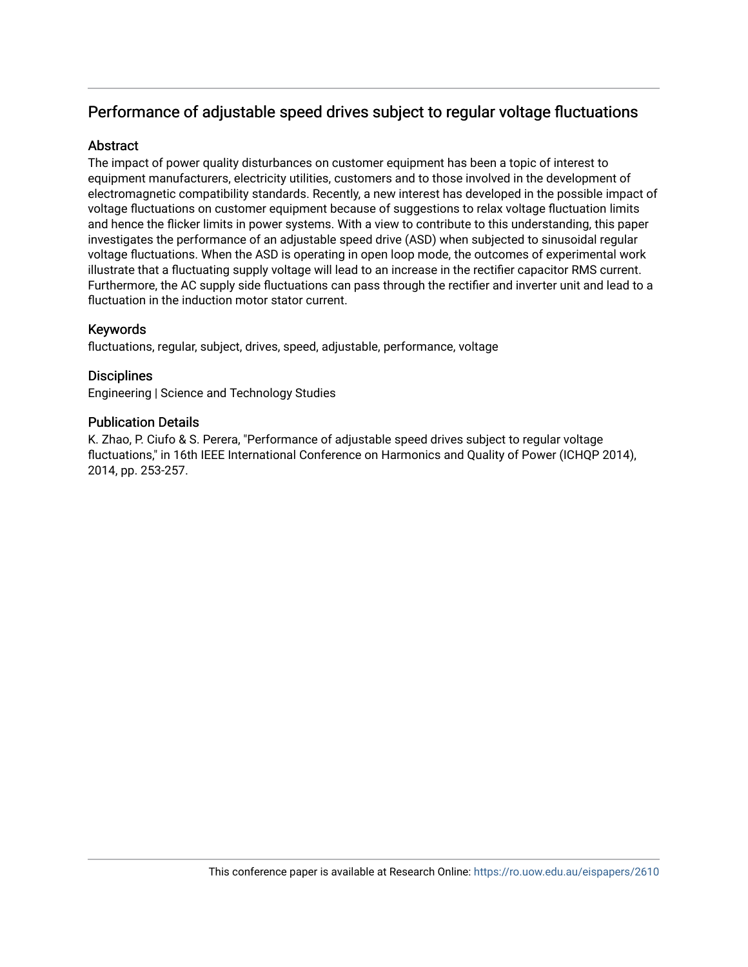# Performance of adjustable speed drives subject to regular voltage fluctuations

## Abstract

The impact of power quality disturbances on customer equipment has been a topic of interest to equipment manufacturers, electricity utilities, customers and to those involved in the development of electromagnetic compatibility standards. Recently, a new interest has developed in the possible impact of voltage fluctuations on customer equipment because of suggestions to relax voltage fluctuation limits and hence the flicker limits in power systems. With a view to contribute to this understanding, this paper investigates the performance of an adjustable speed drive (ASD) when subjected to sinusoidal regular voltage fluctuations. When the ASD is operating in open loop mode, the outcomes of experimental work illustrate that a fluctuating supply voltage will lead to an increase in the rectifier capacitor RMS current. Furthermore, the AC supply side fluctuations can pass through the rectifier and inverter unit and lead to a fluctuation in the induction motor stator current.

## Keywords

fluctuations, regular, subject, drives, speed, adjustable, performance, voltage

## **Disciplines**

Engineering | Science and Technology Studies

## Publication Details

K. Zhao, P. Ciufo & S. Perera, "Performance of adjustable speed drives subject to regular voltage fluctuations," in 16th IEEE International Conference on Harmonics and Quality of Power (ICHQP 2014), 2014, pp. 253-257.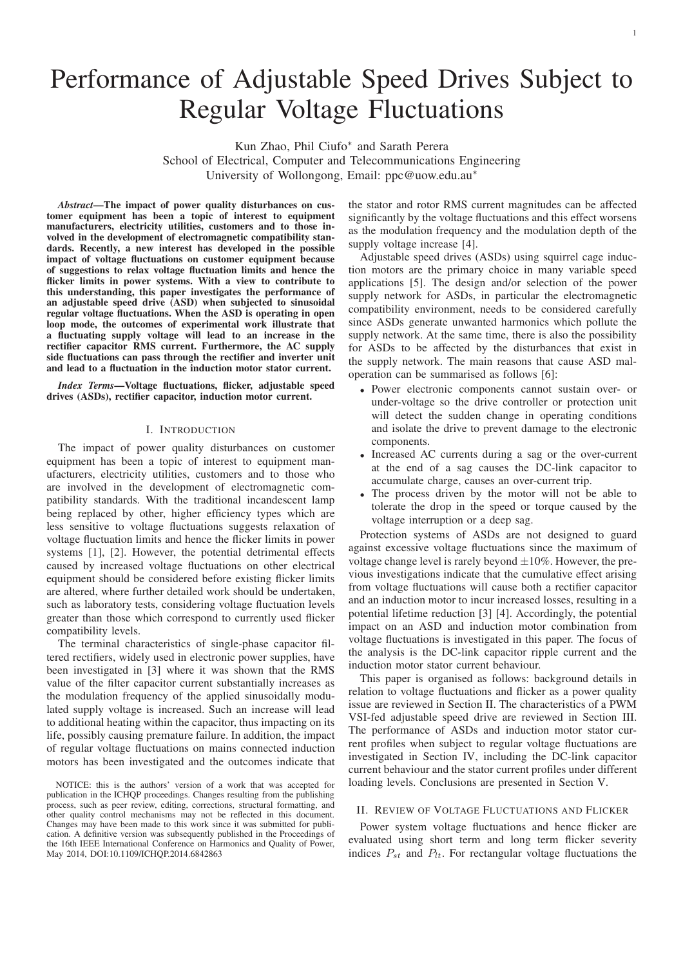# Performance of Adjustable Speed Drives Subject to Regular Voltage Fluctuations

Kun Zhao, Phil Ciufo<sup>∗</sup> and Sarath Perera

School of Electrical, Computer and Telecommunications Engineering University of Wollongong, Email: ppc@uow.edu.au<sup>∗</sup>

*Abstract*—The impact of power quality disturbances on customer equipment has been a topic of interest to equipment manufacturers, electricity utilities, customers and to those involved in the development of electromagnetic compatibility standards. Recently, a new interest has developed in the possible impact of voltage fluctuations on customer equipment because of suggestions to relax voltage fluctuation limits and hence the flicker limits in power systems. With a view to contribute to this understanding, this paper investigates the performance of an adjustable speed drive (ASD) when subjected to sinusoidal regular voltage fluctuations. When the ASD is operating in open loop mode, the outcomes of experimental work illustrate that a fluctuating supply voltage will lead to an increase in the rectifier capacitor RMS current. Furthermore, the AC supply side fluctuations can pass through the rectifier and inverter unit and lead to a fluctuation in the induction motor stator current.

*Index Terms*—Voltage fluctuations, flicker, adjustable speed drives (ASDs), rectifier capacitor, induction motor current.

#### I. INTRODUCTION

The impact of power quality disturbances on customer equipment has been a topic of interest to equipment manufacturers, electricity utilities, customers and to those who are involved in the development of electromagnetic compatibility standards. With the traditional incandescent lamp being replaced by other, higher efficiency types which are less sensitive to voltage fluctuations suggests relaxation of voltage fluctuation limits and hence the flicker limits in power systems [1], [2]. However, the potential detrimental effects caused by increased voltage fluctuations on other electrical equipment should be considered before existing flicker limits are altered, where further detailed work should be undertaken, such as laboratory tests, considering voltage fluctuation levels greater than those which correspond to currently used flicker compatibility levels.

The terminal characteristics of single-phase capacitor filtered rectifiers, widely used in electronic power supplies, have been investigated in [3] where it was shown that the RMS value of the filter capacitor current substantially increases as the modulation frequency of the applied sinusoidally modulated supply voltage is increased. Such an increase will lead to additional heating within the capacitor, thus impacting on its life, possibly causing premature failure. In addition, the impact of regular voltage fluctuations on mains connected induction motors has been investigated and the outcomes indicate that the stator and rotor RMS current magnitudes can be affected significantly by the voltage fluctuations and this effect worsens as the modulation frequency and the modulation depth of the supply voltage increase [4].

Adjustable speed drives (ASDs) using squirrel cage induction motors are the primary choice in many variable speed applications [5]. The design and/or selection of the power supply network for ASDs, in particular the electromagnetic compatibility environment, needs to be considered carefully since ASDs generate unwanted harmonics which pollute the supply network. At the same time, there is also the possibility for ASDs to be affected by the disturbances that exist in the supply network. The main reasons that cause ASD maloperation can be summarised as follows [6]:

- Power electronic components cannot sustain over- or under-voltage so the drive controller or protection unit will detect the sudden change in operating conditions and isolate the drive to prevent damage to the electronic components.
- Increased AC currents during a sag or the over-current at the end of a sag causes the DC-link capacitor to accumulate charge, causes an over-current trip.
- The process driven by the motor will not be able to tolerate the drop in the speed or torque caused by the voltage interruption or a deep sag.

Protection systems of ASDs are not designed to guard against excessive voltage fluctuations since the maximum of voltage change level is rarely beyond  $\pm 10\%$ . However, the previous investigations indicate that the cumulative effect arising from voltage fluctuations will cause both a rectifier capacitor and an induction motor to incur increased losses, resulting in a potential lifetime reduction [3] [4]. Accordingly, the potential impact on an ASD and induction motor combination from voltage fluctuations is investigated in this paper. The focus of the analysis is the DC-link capacitor ripple current and the induction motor stator current behaviour.

This paper is organised as follows: background details in relation to voltage fluctuations and flicker as a power quality issue are reviewed in Section II. The characteristics of a PWM VSI-fed adjustable speed drive are reviewed in Section III. The performance of ASDs and induction motor stator current profiles when subject to regular voltage fluctuations are investigated in Section IV, including the DC-link capacitor current behaviour and the stator current profiles under different loading levels. Conclusions are presented in Section V.

#### II. REVIEW OF VOLTAGE FLUCTUATIONS AND FLICKER

Power system voltage fluctuations and hence flicker are evaluated using short term and long term flicker severity indices  $P_{st}$  and  $P_{lt}$ . For rectangular voltage fluctuations the

NOTICE: this is the authors' version of a work that was accepted for publication in the ICHQP proceedings. Changes resulting from the publishing process, such as peer review, editing, corrections, structural formatting, and other quality control mechanisms may not be reflected in this document. Changes may have been made to this work since it was submitted for publication. A definitive version was subsequently published in the Proceedings of the 16th IEEE International Conference on Harmonics and Quality of Power, May 2014, DOI:10.1109/ICHQP.2014.6842863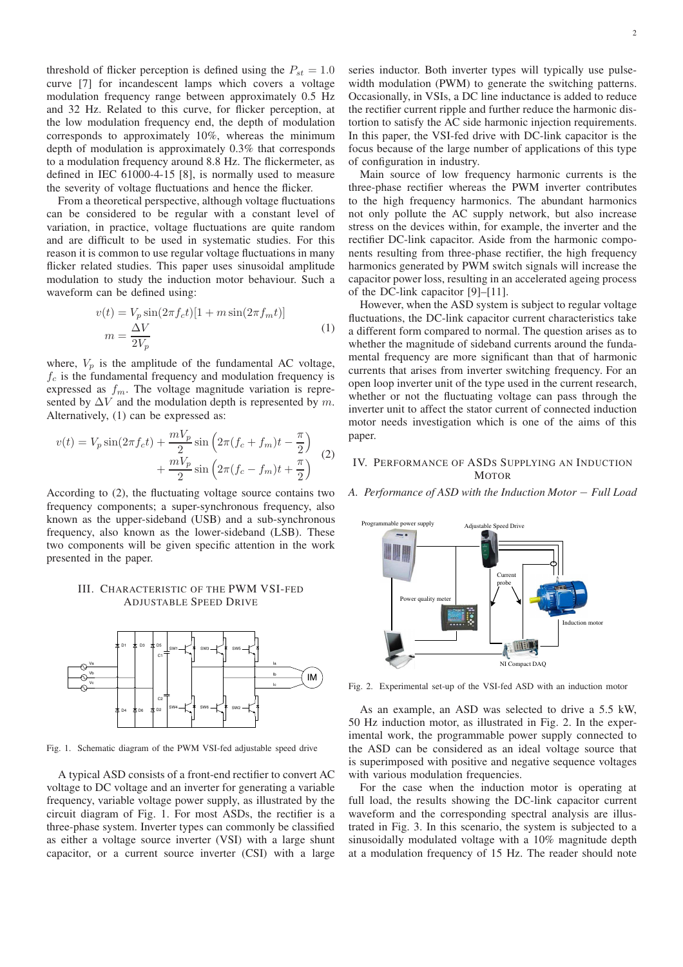threshold of flicker perception is defined using the  $P_{st} = 1.0$ curve [7] for incandescent lamps which covers a voltage modulation frequency range between approximately 0.5 Hz and 32 Hz. Related to this curve, for flicker perception, at the low modulation frequency end, the depth of modulation corresponds to approximately 10%, whereas the minimum depth of modulation is approximately 0.3% that corresponds to a modulation frequency around 8.8 Hz. The flickermeter, as defined in IEC 61000-4-15 [8], is normally used to measure the severity of voltage fluctuations and hence the flicker.

From a theoretical perspective, although voltage fluctuations can be considered to be regular with a constant level of variation, in practice, voltage fluctuations are quite random and are difficult to be used in systematic studies. For this reason it is common to use regular voltage fluctuations in many flicker related studies. This paper uses sinusoidal amplitude modulation to study the induction motor behaviour. Such a waveform can be defined using:

$$
v(t) = V_p \sin(2\pi f_c t)[1 + m\sin(2\pi f_m t)]
$$
  

$$
m = \frac{\Delta V}{2V_p}
$$
 (1)

where,  $V_p$  is the amplitude of the fundamental AC voltage,  $f_c$  is the fundamental frequency and modulation frequency is expressed as  $f_m$ . The voltage magnitude variation is represented by  $\Delta V$  and the modulation depth is represented by m. Alternatively, (1) can be expressed as:

$$
v(t) = V_p \sin(2\pi f_c t) + \frac{mV_p}{2} \sin\left(2\pi (f_c + f_m)t - \frac{\pi}{2}\right) + \frac{mV_p}{2} \sin\left(2\pi (f_c - f_m)t + \frac{\pi}{2}\right)
$$
 (2)

According to (2), the fluctuating voltage source contains two frequency components; a super-synchronous frequency, also known as the upper-sideband (USB) and a sub-synchronous frequency, also known as the lower-sideband (LSB). These two components will be given specific attention in the work presented in the paper.

#### III. CHARACTERISTIC OF THE PWM VSI-FED ADJUSTABLE SPEED DRIVE



Fig. 1. Schematic diagram of the PWM VSI-fed adjustable speed drive

A typical ASD consists of a front-end rectifier to convert AC voltage to DC voltage and an inverter for generating a variable frequency, variable voltage power supply, as illustrated by the circuit diagram of Fig. 1. For most ASDs, the rectifier is a three-phase system. Inverter types can commonly be classified as either a voltage source inverter (VSI) with a large shunt capacitor, or a current source inverter (CSI) with a large series inductor. Both inverter types will typically use pulsewidth modulation (PWM) to generate the switching patterns. Occasionally, in VSIs, a DC line inductance is added to reduce the rectifier current ripple and further reduce the harmonic distortion to satisfy the AC side harmonic injection requirements. In this paper, the VSI-fed drive with DC-link capacitor is the focus because of the large number of applications of this type of configuration in industry.

Main source of low frequency harmonic currents is the three-phase rectifier whereas the PWM inverter contributes to the high frequency harmonics. The abundant harmonics not only pollute the AC supply network, but also increase stress on the devices within, for example, the inverter and the rectifier DC-link capacitor. Aside from the harmonic components resulting from three-phase rectifier, the high frequency harmonics generated by PWM switch signals will increase the capacitor power loss, resulting in an accelerated ageing process of the DC-link capacitor [9]–[11].

However, when the ASD system is subject to regular voltage fluctuations, the DC-link capacitor current characteristics take a different form compared to normal. The question arises as to whether the magnitude of sideband currents around the fundamental frequency are more significant than that of harmonic currents that arises from inverter switching frequency. For an open loop inverter unit of the type used in the current research, whether or not the fluctuating voltage can pass through the inverter unit to affect the stator current of connected induction motor needs investigation which is one of the aims of this paper.

#### IV. PERFORMANCE OF ASDS SUPPLYING AN INDUCTION **MOTOR**

*A. Performance of ASD with the Induction Motor* − *Full Load*



Fig. 2. Experimental set-up of the VSI-fed ASD with an induction motor

As an example, an ASD was selected to drive a 5.5 kW, 50 Hz induction motor, as illustrated in Fig. 2. In the experimental work, the programmable power supply connected to the ASD can be considered as an ideal voltage source that is superimposed with positive and negative sequence voltages with various modulation frequencies.

For the case when the induction motor is operating at full load, the results showing the DC-link capacitor current waveform and the corresponding spectral analysis are illustrated in Fig. 3. In this scenario, the system is subjected to a sinusoidally modulated voltage with a 10% magnitude depth at a modulation frequency of 15 Hz. The reader should note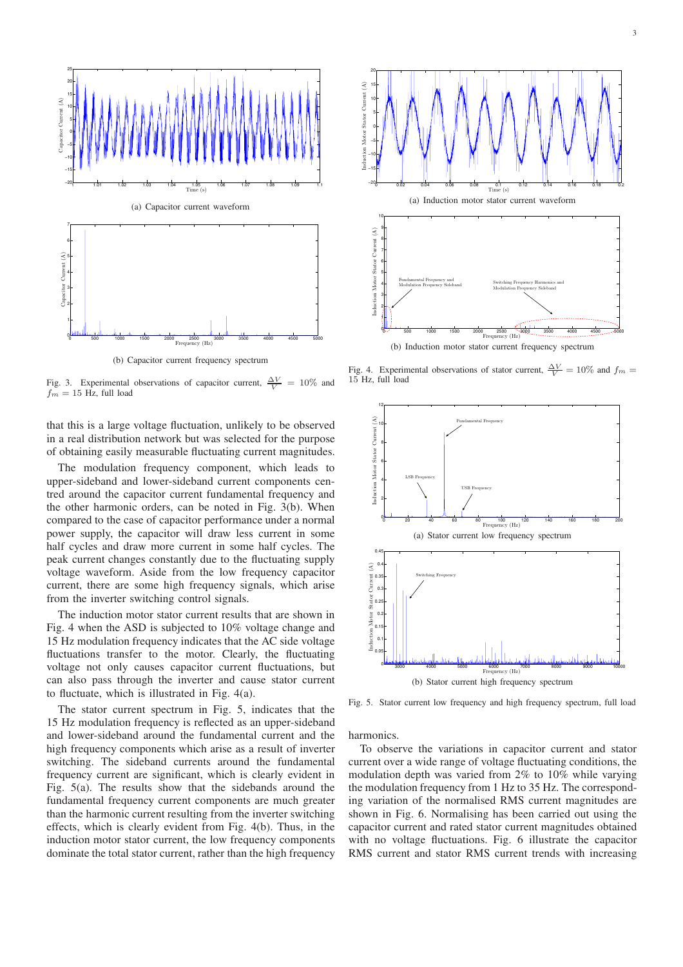

(b) Capacitor current frequency spectrum

Fig. 3. Experimental observations of capacitor current,  $\frac{\Delta V}{V} = 10\%$  and  $f_m = 15$  Hz, full load

that this is a large voltage fluctuation, unlikely to be observed in a real distribution network but was selected for the purpose of obtaining easily measurable fluctuating current magnitudes.

The modulation frequency component, which leads to upper-sideband and lower-sideband current components centred around the capacitor current fundamental frequency and the other harmonic orders, can be noted in Fig. 3(b). When compared to the case of capacitor performance under a normal power supply, the capacitor will draw less current in some half cycles and draw more current in some half cycles. The peak current changes constantly due to the fluctuating supply voltage waveform. Aside from the low frequency capacitor current, there are some high frequency signals, which arise from the inverter switching control signals.

The induction motor stator current results that are shown in Fig. 4 when the ASD is subjected to 10% voltage change and 15 Hz modulation frequency indicates that the AC side voltage fluctuations transfer to the motor. Clearly, the fluctuating voltage not only causes capacitor current fluctuations, but can also pass through the inverter and cause stator current to fluctuate, which is illustrated in Fig. 4(a).

The stator current spectrum in Fig. 5, indicates that the 15 Hz modulation frequency is reflected as an upper-sideband and lower-sideband around the fundamental current and the high frequency components which arise as a result of inverter switching. The sideband currents around the fundamental frequency current are significant, which is clearly evident in Fig. 5(a). The results show that the sidebands around the fundamental frequency current components are much greater than the harmonic current resulting from the inverter switching effects, which is clearly evident from Fig. 4(b). Thus, in the induction motor stator current, the low frequency components dominate the total stator current, rather than the high frequency



(b) Induction motor stator current frequency spectrum

Fig. 4. Experimental observations of stator current,  $\frac{\Delta V}{V} = 10\%$  and  $f_m =$ 15 Hz, full load



Fig. 5. Stator current low frequency and high frequency spectrum, full load

harmonics.

To observe the variations in capacitor current and stator current over a wide range of voltage fluctuating conditions, the modulation depth was varied from 2% to 10% while varying the modulation frequency from 1 Hz to 35 Hz. The corresponding variation of the normalised RMS current magnitudes are shown in Fig. 6. Normalising has been carried out using the capacitor current and rated stator current magnitudes obtained with no voltage fluctuations. Fig. 6 illustrate the capacitor RMS current and stator RMS current trends with increasing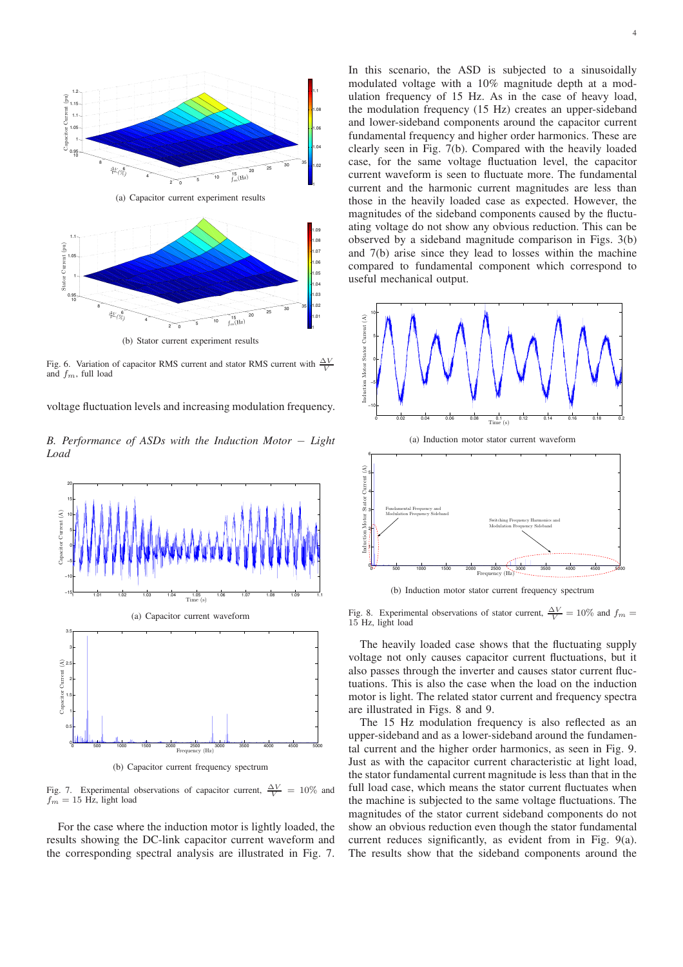

Fig. 6. Variation of capacitor RMS current and stator RMS current with  $\frac{\Delta V}{V}$ and  $f_m$ , full load

voltage fluctuation levels and increasing modulation frequency.

*B. Performance of ASDs with the Induction Motor* − *Light Load*



(b) Capacitor current frequency spectrum

Fig. 7. Experimental observations of capacitor current,  $\frac{\Delta V}{V} = 10\%$  and  $f_m = 15$  Hz, light load

For the case where the induction motor is lightly loaded, the results showing the DC-link capacitor current waveform and the corresponding spectral analysis are illustrated in Fig. 7.

In this scenario, the ASD is subjected to a sinusoidally modulated voltage with a 10% magnitude depth at a modulation frequency of 15 Hz. As in the case of heavy load, the modulation frequency (15 Hz) creates an upper-sideband and lower-sideband components around the capacitor current fundamental frequency and higher order harmonics. These are clearly seen in Fig. 7(b). Compared with the heavily loaded case, for the same voltage fluctuation level, the capacitor current waveform is seen to fluctuate more. The fundamental current and the harmonic current magnitudes are less than those in the heavily loaded case as expected. However, the magnitudes of the sideband components caused by the fluctuating voltage do not show any obvious reduction. This can be observed by a sideband magnitude comparison in Figs. 3(b) and 7(b) arise since they lead to losses within the machine compared to fundamental component which correspond to useful mechanical output.





(b) Induction motor stator current frequency spectrum

Fig. 8. Experimental observations of stator current,  $\frac{\Delta V}{V} = 10\%$  and  $f_m =$ 15 Hz, light load

The heavily loaded case shows that the fluctuating supply voltage not only causes capacitor current fluctuations, but it also passes through the inverter and causes stator current fluctuations. This is also the case when the load on the induction motor is light. The related stator current and frequency spectra are illustrated in Figs. 8 and 9.

The 15 Hz modulation frequency is also reflected as an upper-sideband and as a lower-sideband around the fundamental current and the higher order harmonics, as seen in Fig. 9. Just as with the capacitor current characteristic at light load, the stator fundamental current magnitude is less than that in the full load case, which means the stator current fluctuates when the machine is subjected to the same voltage fluctuations. The magnitudes of the stator current sideband components do not show an obvious reduction even though the stator fundamental current reduces significantly, as evident from in Fig. 9(a). The results show that the sideband components around the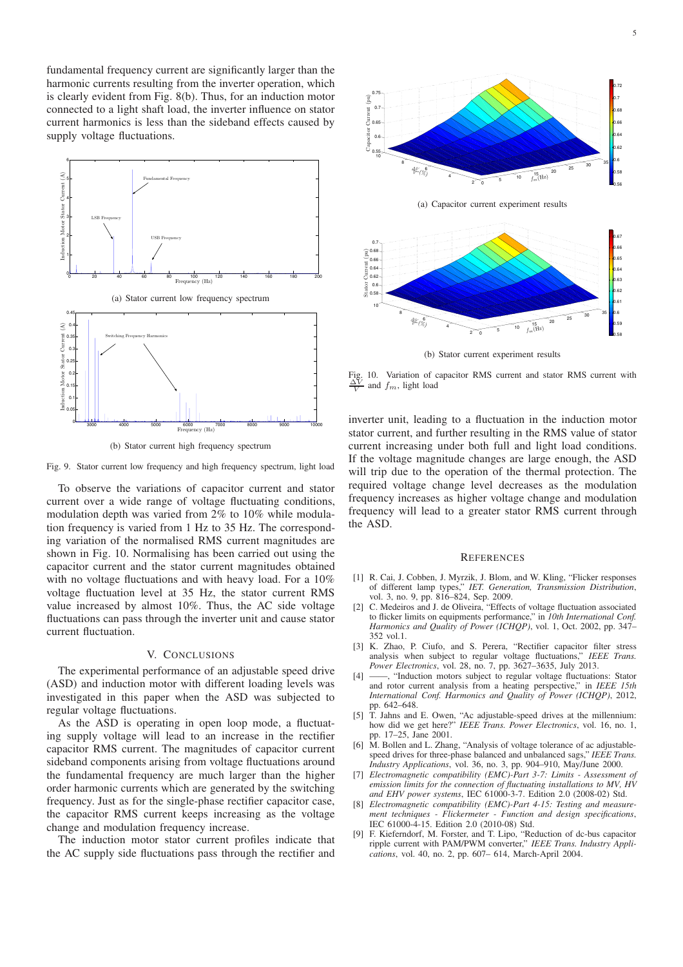fundamental frequency current are significantly larger than the harmonic currents resulting from the inverter operation, which is clearly evident from Fig. 8(b). Thus, for an induction motor connected to a light shaft load, the inverter influence on stator current harmonics is less than the sideband effects caused by supply voltage fluctuations.



(b) Stator current high frequency spectrum

Fig. 9. Stator current low frequency and high frequency spectrum, light load

To observe the variations of capacitor current and stator current over a wide range of voltage fluctuating conditions, modulation depth was varied from 2% to 10% while modulation frequency is varied from 1 Hz to 35 Hz. The corresponding variation of the normalised RMS current magnitudes are shown in Fig. 10. Normalising has been carried out using the capacitor current and the stator current magnitudes obtained with no voltage fluctuations and with heavy load. For a 10% voltage fluctuation level at 35 Hz, the stator current RMS value increased by almost 10%. Thus, the AC side voltage fluctuations can pass through the inverter unit and cause stator current fluctuation.

#### V. CONCLUSIONS

The experimental performance of an adjustable speed drive (ASD) and induction motor with different loading levels was investigated in this paper when the ASD was subjected to regular voltage fluctuations.

As the ASD is operating in open loop mode, a fluctuating supply voltage will lead to an increase in the rectifier capacitor RMS current. The magnitudes of capacitor current sideband components arising from voltage fluctuations around the fundamental frequency are much larger than the higher order harmonic currents which are generated by the switching frequency. Just as for the single-phase rectifier capacitor case, the capacitor RMS current keeps increasing as the voltage change and modulation frequency increase.

The induction motor stator current profiles indicate that the AC supply side fluctuations pass through the rectifier and



Fig. 10. Variation of capacitor RMS current and stator RMS current with  $\frac{\Delta V}{V}$  and  $f_m$ , light load

inverter unit, leading to a fluctuation in the induction motor stator current, and further resulting in the RMS value of stator current increasing under both full and light load conditions. If the voltage magnitude changes are large enough, the ASD will trip due to the operation of the thermal protection. The required voltage change level decreases as the modulation frequency increases as higher voltage change and modulation frequency will lead to a greater stator RMS current through the ASD.

#### **REFERENCES**

- [1] R. Cai, J. Cobben, J. Myrzik, J. Blom, and W. Kling, "Flicker responses of different lamp types," *IET. Generation, Transmission Distribution*, vol. 3, no. 9, pp. 816–824, Sep. 2009.
- [2] C. Medeiros and J. de Oliveira, "Effects of voltage fluctuation associated to flicker limits on equipments performance," in *10th International Conf. Harmonics and Quality of Power (ICHQP)*, vol. 1, Oct. 2002, pp. 347– 352 vol.1.
- [3] K. Zhao, P. Ciufo, and S. Perera, "Rectifier capacitor filter stress analysis when subject to regular voltage fluctuations," *IEEE Trans. Power Electronics*, vol. 28, no. 7, pp. 3627–3635, July 2013.
- [4] ——, "Induction motors subject to regular voltage fluctuations: Stator and rotor current analysis from a heating perspective," in *IEEE 15th International Conf. Harmonics and Quality of Power (ICHQP)*, 2012, pp. 642–648.
- [5] T. Jahns and E. Owen, "Ac adjustable-speed drives at the millennium: how did we get here?" *IEEE Trans. Power Electronics*, vol. 16, no. 1, pp. 17–25, Jane 2001.
- [6] M. Bollen and L. Zhang, "Analysis of voltage tolerance of ac adjustablespeed drives for three-phase balanced and unbalanced sags," *IEEE Trans. Industry Applications*, vol. 36, no. 3, pp. 904–910, May/June 2000.
- [7] *Electromagnetic compatibility (EMC)-Part 3-7: Limits Assessment of emission limits for the connection of fluctuating installations to MV, HV and EHV power systems*, IEC 61000-3-7. Edition 2.0 (2008-02) Std.
- [8] *Electromagnetic compatibility (EMC)-Part 4-15: Testing and measurement techniques - Flickermeter - Function and design specifications*, IEC 61000-4-15. Edition 2.0 (2010-08) Std.
- F. Kieferndorf, M. Forster, and T. Lipo, "Reduction of dc-bus capacitor ripple current with PAM/PWM converter," *IEEE Trans. Industry Applications*, vol. 40, no. 2, pp. 607– 614, March-April 2004.